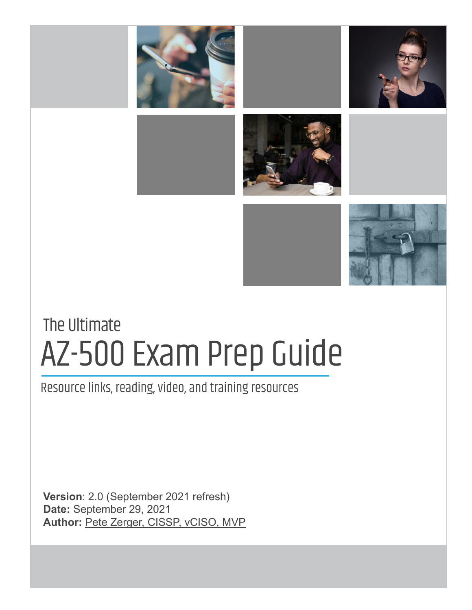

# AZ-500 Exam Prep Guide The Ultimate

Resource links, reading, video, and training resources

**Version**: 2.0 (September 2021 refresh) **Date:** September 29, 2021 **Author:** [Pete Zerger, CISSP, vCISO, MVP](https://www.linkedin.com/in/petezerger)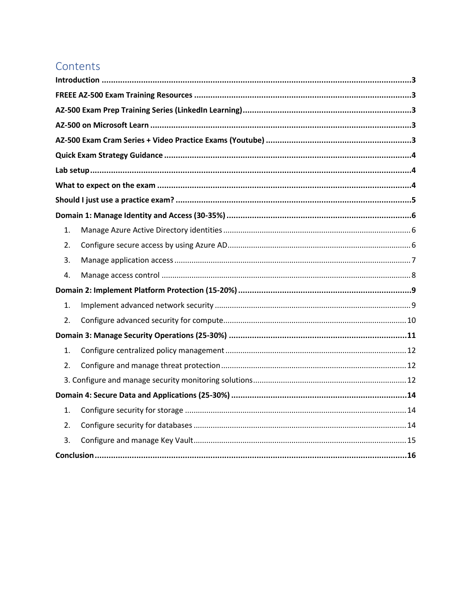# <span id="page-1-0"></span>Contents

| 1. |  |
|----|--|
| 2. |  |
| 3. |  |
| 4. |  |
|    |  |
| 1. |  |
| 2. |  |
|    |  |
| 1. |  |
| 2. |  |
|    |  |
|    |  |
| 1. |  |
| 2. |  |
| 3. |  |
|    |  |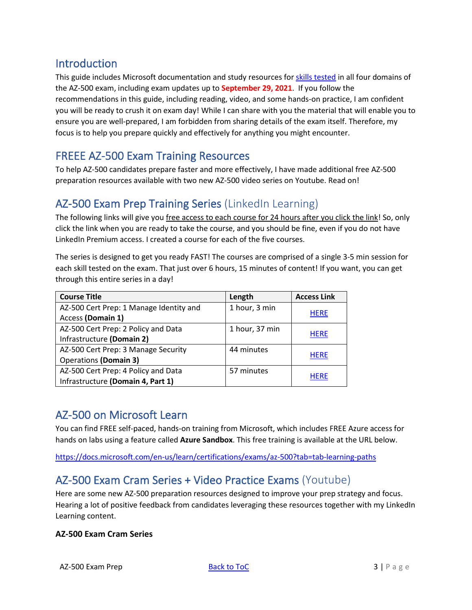### <span id="page-2-0"></span>Introduction

This guide includes Microsoft documentation and study resources for [skills tested](https://query.prod.cms.rt.microsoft.com/cms/api/am/binary/RE3VC70) in all four domains of the AZ-500 exam, including exam updates up to **September 29, 2021**. If you follow the recommendations in this guide, including reading, video, and some hands-on practice, I am confident you will be ready to crush it on exam day! While I can share with you the material that will enable you to ensure you are well-prepared, I am forbidden from sharing details of the exam itself. Therefore, my focus is to help you prepare quickly and effectively for anything you might encounter.

# <span id="page-2-1"></span>FREEE AZ-500 Exam Training Resources

To help AZ-500 candidates prepare faster and more effectively, I have made additional free AZ-500 preparation resources available with two new AZ-500 video series on Youtube. Read on!

### <span id="page-2-2"></span>AZ-500 Exam Prep Training Series (LinkedIn Learning)

The following links will give you free access to each course for 24 hours after you click the link! So, only click the link when you are ready to take the course, and you should be fine, even if you do not have LinkedIn Premium access. I created a course for each of the five courses.

The series is designed to get you ready FAST! The courses are comprised of a single 3-5 min session for each skill tested on the exam. That just over 6 hours, 15 minutes of content! If you want, you can get through this entire series in a day!

| <b>Course Title</b>                     | Length         | <b>Access Link</b> |
|-----------------------------------------|----------------|--------------------|
| AZ-500 Cert Prep: 1 Manage Identity and | 1 hour, 3 min  |                    |
| Access (Domain 1)                       |                | <b>HERE</b>        |
| AZ-500 Cert Prep: 2 Policy and Data     | 1 hour, 37 min |                    |
| Infrastructure (Domain 2)               |                | <b>HERE</b>        |
| AZ-500 Cert Prep: 3 Manage Security     | 44 minutes     |                    |
| <b>Operations (Domain 3)</b>            |                | <b>HERE</b>        |
| AZ-500 Cert Prep: 4 Policy and Data     | 57 minutes     |                    |
| Infrastructure (Domain 4, Part 1)       |                | <b>HERE</b>        |

# <span id="page-2-3"></span>AZ-500 on Microsoft Learn

You can find FREE self-paced, hands-on training from Microsoft, which includes FREE Azure access for hands on labs using a feature called **Azure Sandbox**. This free training is available at the URL below.

<https://docs.microsoft.com/en-us/learn/certifications/exams/az-500?tab=tab-learning-paths>

# <span id="page-2-4"></span>AZ-500 Exam Cram Series + Video Practice Exams (Youtube)

Here are some new AZ-500 preparation resources designed to improve your prep strategy and focus. Hearing a lot of positive feedback from candidates leveraging these resources together with my LinkedIn Learning content.

### **AZ-500 Exam Cram Series**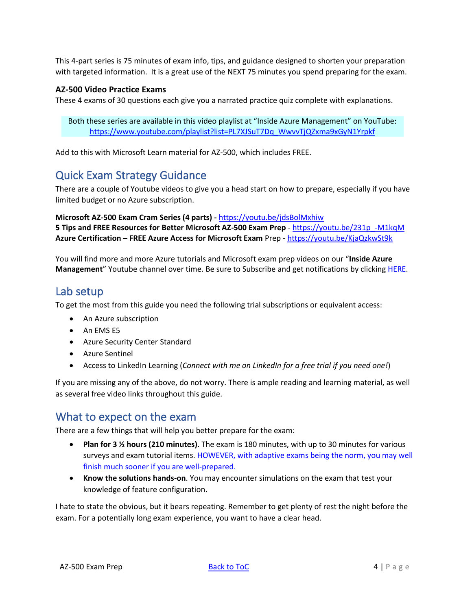This 4-part series is 75 minutes of exam info, tips, and guidance designed to shorten your preparation with targeted information. It is a great use of the NEXT 75 minutes you spend preparing for the exam.

#### **AZ-500 Video Practice Exams**

These 4 exams of 30 questions each give you a narrated practice quiz complete with explanations.

Both these series are available in this video playlist at "Inside Azure Management" on YouTube: [https://www.youtube.com/playlist?list=PL7XJSuT7Dq\\_WwvvTjQZxma9xGyN1Yrpkf](https://www.youtube.com/playlist?list=PL7XJSuT7Dq_WwvvTjQZxma9xGyN1Yrpkf)

Add to this with Microsoft Learn material for AZ-500, which includes FREE.

# <span id="page-3-0"></span>Quick Exam Strategy Guidance

There are a couple of Youtube videos to give you a head start on how to prepare, especially if you have limited budget or no Azure subscription.

**Microsoft AZ-500 Exam Cram Series (4 parts) -** <https://youtu.be/jdsBolMxhiw> **5 Tips and FREE Resources for Better Microsoft AZ-500 Exam Prep** - [https://youtu.be/231p\\_-M1kqM](https://youtu.be/231p_-M1kqM) **Azure Certification – FREE Azure Access for Microsoft Exam** Prep - <https://youtu.be/KjaQzkwSt9k>

You will find more and more Azure tutorials and Microsoft exam prep videos on our "**Inside Azure Management**" Youtube channel over time. Be sure to Subscribe and get notifications by clicking **HERE**.

### <span id="page-3-1"></span>Lab setup

To get the most from this guide you need the following trial subscriptions or equivalent access:

- An Azure subscription
- An EMS E5
- Azure Security Center Standard
- Azure Sentinel
- Access to LinkedIn Learning (*Connect with me on LinkedIn for a free trial if you need one!*)

If you are missing any of the above, do not worry. There is ample reading and learning material, as well as several free video links throughout this guide.

### <span id="page-3-2"></span>What to expect on the exam

There are a few things that will help you better prepare for the exam:

- **Plan for 3 ½ hours (210 minutes)**. The exam is 180 minutes, with up to 30 minutes for various surveys and exam tutorial items. HOWEVER, with adaptive exams being the norm, you may well finish much sooner if you are well-prepared.
- **Know the solutions hands-on**. You may encounter simulations on the exam that test your knowledge of feature configuration.

I hate to state the obvious, but it bears repeating. Remember to get plenty of rest the night before the exam. For a potentially long exam experience, you want to have a clear head.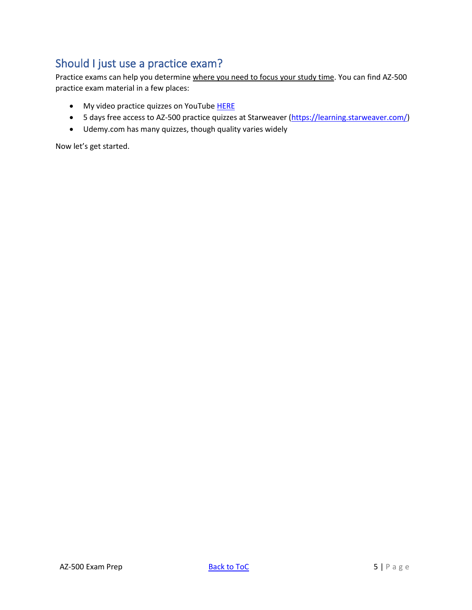# <span id="page-4-0"></span>Should I just use a practice exam?

Practice exams can help you determine where you need to focus your study time. You can find AZ-500 practice exam material in a few places:

- My video practice quizzes on YouTube [HERE](https://www.youtube.com/playlist?list=PL7XJSuT7Dq_V0LZG0Iz1i7gIVPkqGI-ZF)
- 5 days free access to AZ-500 practice quizzes at Starweaver [\(https://learning.starweaver.com/\)](https://learning.starweaver.com/)
- Udemy.com has many quizzes, though quality varies widely

Now let's get started.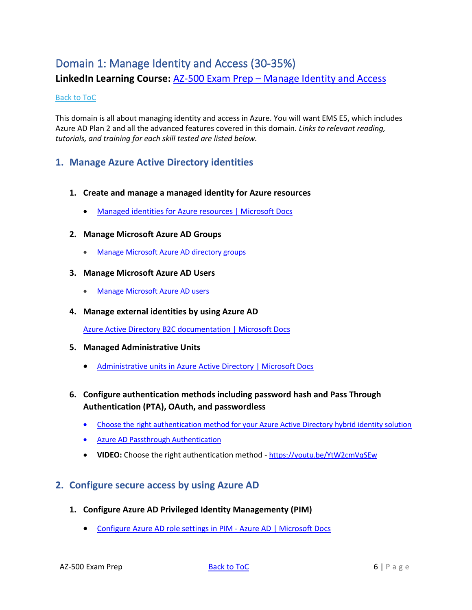# <span id="page-5-0"></span>Domain 1: Manage Identity and Access (30-35%)

**LinkedIn Learning Course:** AZ-500 Exam Prep – [Manage Identity and Access](https://www.linkedin.com/posts/petezerger_microsoft-infosec-cybersecurity-activity-6631206830976622594-TpVi)

#### [Back to ToC](#page-1-0)

This domain is all about managing identity and access in Azure. You will want EMS E5, which includes Azure AD Plan 2 and all the advanced features covered in this domain. *Links to relevant reading, tutorials, and training for each skill tested are listed below.*

### <span id="page-5-1"></span>**1. Manage Azure Active Directory identities**

- **1. Create and manage a managed identity for Azure resources**
	- [Managed identities for Azure resources | Microsoft Docs](https://docs.microsoft.com/en-us/azure/active-directory/managed-identities-azure-resources/overview)
- **2. Manage Microsoft Azure AD Groups**
	- [Manage Microsoft Azure AD directory groups](https://docs.microsoft.com/en-us/azure/active-directory/fundamentals/active-directory-groups-members-azure-portal)

#### **3. Manage Microsoft Azure AD Users**

- [Manage Microsoft Azure AD users](https://docs.microsoft.com/en-us/azure/active-directory/fundamentals/add-users-azure-active-directory)
- **4. Manage external identities by using Azure AD**

[Azure Active Directory B2C documentation | Microsoft Docs](https://docs.microsoft.com/en-us/azure/active-directory-b2c/)

- **5. Managed Administrative Units** 
	- [Administrative units in Azure Active Directory | Microsoft Docs](https://docs.microsoft.com/en-us/azure/active-directory/roles/administrative-units)
- **6. Configure authentication methods including password hash and Pass Through Authentication (PTA), OAuth, and passwordless** 
	- [Choose the right authentication method for your Azure Active Directory hybrid identity solution](https://docs.microsoft.com/en-us/azure/security/fundamentals/choose-ad-authn)
	- [Azure AD Passthrough Authentication](https://docs.microsoft.com/en-us/azure/active-directory/hybrid/how-to-connect-pta-quick-start)
	- **VIDEO:** Choose the right authentication method <https://youtu.be/YtW2cmVqSEw>

### <span id="page-5-2"></span>**2. Configure secure access by using Azure AD**

- **1. Configure Azure AD Privileged Identity Managementy (PIM)**
	- [Configure Azure AD role settings in](https://docs.microsoft.com/en-us/azure/active-directory/privileged-identity-management/pim-how-to-change-default-settings) PIM Azure AD | Microsoft Docs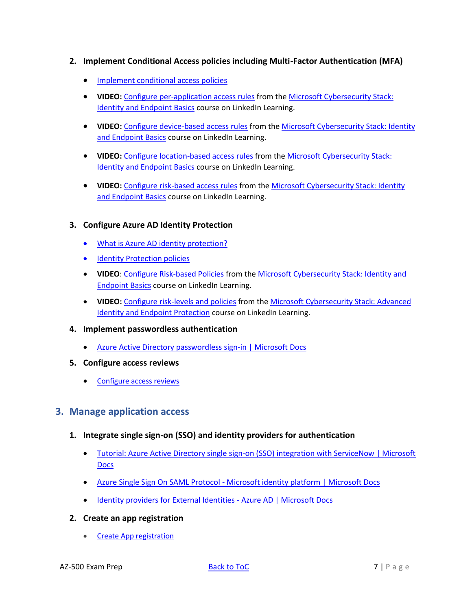- **2. Implement Conditional Access policies including Multi-Factor Authentication (MFA)**
	- [Implement conditional access policies](https://docs.microsoft.com/en-us/azure/active-directory/conditional-access/plan-conditional-access)
	- **VIDEO:** [Configure per-application access rules](https://www.linkedin.com/learning/microsoft-cybersecurity-stack-identity-and-endpoint-protection-basics/configure-per-application-access-rules?u=2125562) from the Microsoft Cybersecurity Stack: [Identity and Endpoint Basics](https://www.linkedin.com/learning/microsoft-cybersecurity-stack-identity-and-endpoint-protection-basics/set-up-directory-integration?u=2125562) course on LinkedIn Learning.
	- **VIDEO:** [Configure device-based](https://www.linkedin.com/learning/microsoft-cybersecurity-stack-identity-and-endpoint-protection-basics/configure-device-based-access-rules?autoplay=true&u=2125562) access rules from th[e Microsoft Cybersecurity Stack: Identity](https://www.linkedin.com/learning/microsoft-cybersecurity-stack-identity-and-endpoint-protection-basics/set-up-directory-integration?u=2125562)  [and Endpoint Basics](https://www.linkedin.com/learning/microsoft-cybersecurity-stack-identity-and-endpoint-protection-basics/set-up-directory-integration?u=2125562) course on LinkedIn Learning.
	- **VIDEO:** [Configure location-based](https://www.linkedin.com/learning/microsoft-cybersecurity-stack-identity-and-endpoint-protection-basics/configure-location-based-access-rules?autoplay=true&u=2125562) access rules from th[e Microsoft Cybersecurity Stack:](https://www.linkedin.com/learning/microsoft-cybersecurity-stack-identity-and-endpoint-protection-basics/set-up-directory-integration?u=2125562)  **[Identity and Endpoint Basics](https://www.linkedin.com/learning/microsoft-cybersecurity-stack-identity-and-endpoint-protection-basics/set-up-directory-integration?u=2125562) course on LinkedIn Learning.**
	- **VIDEO:** [Configure risk-based](https://www.linkedin.com/learning/microsoft-cybersecurity-stack-identity-and-endpoint-protection-basics/configure-risk-based-access-rules?autoplay=true&u=2125562) access rules from the [Microsoft Cybersecurity Stack: Identity](https://www.linkedin.com/learning/microsoft-cybersecurity-stack-identity-and-endpoint-protection-basics/set-up-directory-integration?u=2125562)  [and Endpoint Basics](https://www.linkedin.com/learning/microsoft-cybersecurity-stack-identity-and-endpoint-protection-basics/set-up-directory-integration?u=2125562) course on LinkedIn Learning.

#### **3. Configure Azure AD Identity Protection**

- [What is Azure AD identity protection?](https://docs.microsoft.com/en-us/azure/active-directory/identity-protection/overview-identity-protection)
- [Identity Protection policies](https://docs.microsoft.com/en-us/azure/active-directory/identity-protection/concept-identity-protection-policies)
- **VIDEO**[: Configure Risk-based Policies](https://www.linkedin.com/learning/microsoft-cybersecurity-stack-identity-and-endpoint-protection-basics/configure-risk-based-access-rules?autoplay=true&u=2125562) from th[e Microsoft Cybersecurity Stack: Identity and](https://www.linkedin.com/learning/microsoft-cybersecurity-stack-identity-and-endpoint-protection-basics/set-up-directory-integration?u=2125562)  [Endpoint Basics](https://www.linkedin.com/learning/microsoft-cybersecurity-stack-identity-and-endpoint-protection-basics/set-up-directory-integration?u=2125562) course on LinkedIn Learning.
- **VIDEO:** [Configure risk-levels and policies](https://www.linkedin.com/learning/microsoft-cybersecurity-stack-advanced-identity-and-endpoint-protection/configure-risk-levels-and-policies?u=2125562) from th[e Microsoft Cybersecurity Stack: Advanced](https://www.linkedin.com/learning/microsoft-cybersecurity-stack-advanced-identity-and-endpoint-protection/configure-risk-levels-and-policies?u=2125562)  [Identity and Endpoint Protection](https://www.linkedin.com/learning/microsoft-cybersecurity-stack-advanced-identity-and-endpoint-protection/configure-risk-levels-and-policies?u=2125562) course on LinkedIn Learning.
- **4. Implement passwordless authentication** 
	- [Azure Active Directory passwordless sign-in | Microsoft Docs](https://docs.microsoft.com/en-us/azure/active-directory/authentication/concept-authentication-passwordless)
- **5. Configure access reviews**
	- [Configure access reviews](https://docs.microsoft.com/en-us/azure/active-directory/governance/access-reviews-overview)

### <span id="page-6-0"></span>**3. Manage application access**

- **1. Integrate single sign-on (SSO) and identity providers for authentication**
	- [Tutorial: Azure Active Directory single sign-on \(SSO\) integration with ServiceNow | Microsoft](https://docs.microsoft.com/en-us/azure/active-directory/saas-apps/servicenow-tutorial)  **[Docs](https://docs.microsoft.com/en-us/azure/active-directory/saas-apps/servicenow-tutorial)**
	- Azure Single Sign On SAML Protocol [Microsoft identity platform | Microsoft Docs](https://docs.microsoft.com/en-us/azure/active-directory/develop/single-sign-on-saml-protocol)
	- [Identity providers for External Identities -](https://docs.microsoft.com/en-us/azure/active-directory/external-identities/identity-providers) Azure AD | Microsoft Docs
- **2. Create an app registration**
	- [Create App registration](https://docs.microsoft.com/en-us/azure/active-directory/develop/howto-create-service-principal-portal)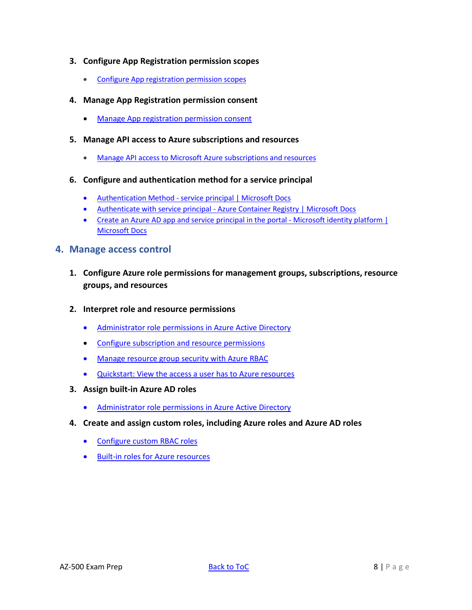- **3. Configure App Registration permission scopes**
	- [Configure App registration permission scopes](https://docs.microsoft.com/en-us/azure/active-directory/develop/v2-permissions-and-consent)

#### **4. Manage App Registration permission consent**

- [Manage App registration permission consent](https://docs.microsoft.com/en-us/azure/active-directory/develop/v2-permissions-and-consent)
- **5. Manage API access to Azure subscriptions and resources**
	- [Manage API access to Microsoft Azure subscriptions and resources](https://docs.microsoft.com/en-us/azure/role-based-access-control/role-assignments-portal)
- **6. Configure and authentication method for a service principal**
	- Authentication Method [service principal | Microsoft Docs](https://docs.microsoft.com/en-us/azure-sphere/deployment/authenticate-service-principal)
	- Authenticate with service principal [Azure Container Registry | Microsoft Docs](https://docs.microsoft.com/en-us/azure/container-registry/container-registry-auth-service-principal)
	- [Create an Azure AD app and service principal in the portal -](https://docs.microsoft.com/en-us/azure/active-directory/develop/howto-create-service-principal-portal) Microsoft identity platform | [Microsoft Docs](https://docs.microsoft.com/en-us/azure/active-directory/develop/howto-create-service-principal-portal)

#### <span id="page-7-0"></span>**4. Manage access control**

- **1. Configure Azure role permissions for management groups, subscriptions, resource groups, and resources**
- **2. Interpret role and resource permissions** 
	- [Administrator](https://docs.microsoft.com/en-us/azure/active-directory/users-groups-roles/directory-assign-admin-roles) role permissions in Azure Active Directory
	- Configure [subscription](https://docs.microsoft.com/en-us/azure/role-based-access-control/role-assignments-portal) and resource permissions
	- Manage [resource](https://docs.microsoft.com/en-us/azure/role-based-access-control/overview) group security with Azure RBAC
	- [Quickstart:](https://docs.microsoft.com/en-us/azure/role-based-access-control/check-access) View the access a user has to Azure resources
- **3. Assign built-in Azure AD roles**
	- [Administrator](https://docs.microsoft.com/en-us/azure/active-directory/users-groups-roles/directory-assign-admin-roles) role permissions in Azure Active Directory
- **4. Create and assign custom roles, including Azure roles and Azure AD roles**
	- [Configure](https://docs.microsoft.com/en-us/azure/role-based-access-control/custom-roles) custom RBAC roles
	- Built-in roles for Azure [resources](https://docs.microsoft.com/en-us/azure/role-based-access-control/built-in-roles)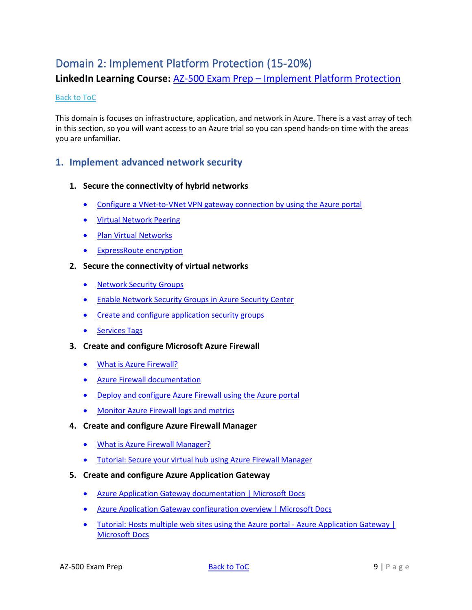# <span id="page-8-0"></span>Domain 2: Implement Platform Protection (15-20%)

**LinkedIn Learning Course:** AZ-500 Exam Prep – [Implement Platform Protection](https://www.linkedin.com/posts/petezerger_networksecurity-cloudsecurity-microsoftazure-activity-6633368288409763840-BJGZ)

#### [Back to ToC](#page-1-0)

This domain is focuses on infrastructure, application, and network in Azure. There is a vast array of tech in this section, so you will want access to an Azure trial so you can spend hands-on time with the areas you are unfamiliar.

### <span id="page-8-1"></span>**1. Implement advanced network security**

#### **1. Secure the connectivity of hybrid networks**

- Configure a [VNet-to-VNet](https://docs.microsoft.com/en-us/azure/vpn-gateway/vpn-gateway-howto-vnet-vnet-resource-manager-portal) VPN gateway connection by using the Azure portal
- Virtual [Network](https://docs.microsoft.com/en-us/azure/virtual-network/virtual-network-peering-overview) Peering
- Plan Virtual [Networks](https://docs.microsoft.com/en-us/azure/virtual-network/virtual-network-vnet-plan-design-arm)
- [ExpressRoute](https://docs.microsoft.com/en-us/azure/expressroute/expressroute-about-encryption) encryption
- **2. Secure the connectivity of virtual networks**
	- [Network](https://docs.microsoft.com/en-us/azure/virtual-network/security-overview) Security Groups
	- Enable [Network](https://docs.microsoft.com/en-us/azure/security-center/security-center-enable-network-security-groups) [Security](https://docs.microsoft.com/en-us/azure/security-center/security-center-enable-network-security-groups) Groups in Azure [Security](https://docs.microsoft.com/en-us/azure/security-center/security-center-enable-network-security-groups) Center
	- Create and configure [application](https://azure.microsoft.com/en-gb/blog/applicationsecuritygroups/) security groups
	- [Services](https://docs.microsoft.com/en-us/azure/virtual-network/security-overview#service-tags) Tags
- **3. Create and configure Microsoft Azure Firewall**
	- What is Azure [Firewall?](https://docs.microsoft.com/en-us/azure/firewall/overview)
	- Azure Firewall [documentation](https://docs.microsoft.com/en-us/azure/firewall/)
	- Deploy and [configure](https://docs.microsoft.com/en-us/azure/firewall/tutorial-firewall-deploy-portal) Azure Firewall using the Azure portal
	- [Monitor](https://docs.microsoft.com/en-us/azure/firewall/tutorial-diagnostics) Azure Firewall logs and metrics
- **4. Create and configure Azure Firewall Manager**
	- What is Azure Firewall [Manager?](https://docs.microsoft.com/en-us/azure/firewall-manager/overview)
	- Tutorial: Secure your virtual hub using Azure Firewall [Manager](https://docs.microsoft.com/en-us/azure/firewall-manager/overview)
- **5. Create and configure Azure Application Gateway**
	- Azure Application Gateway [documentation](https://docs.microsoft.com/en-us/azure/application-gateway/) | Microsoft Docs
	- Azure Application Gateway [configuration](https://docs.microsoft.com/en-us/azure/application-gateway/configuration-overview) overview | Microsoft Docs
	- Tutorial: Hosts multiple web sites using the Azure portal Azure [Application](https://docs.microsoft.com/en-us/azure/application-gateway/create-multiple-sites-portal#:~:text=%20Tutorial%3A%20Create%20and%20configure%20an%20application%20gateway,you%27ll%20use%20virtual%20machines%20as%20the...%20More%20) Gateway | [Microsoft](https://docs.microsoft.com/en-us/azure/application-gateway/create-multiple-sites-portal#:~:text=%20Tutorial%3A%20Create%20and%20configure%20an%20application%20gateway,you%27ll%20use%20virtual%20machines%20as%20the...%20More%20) Docs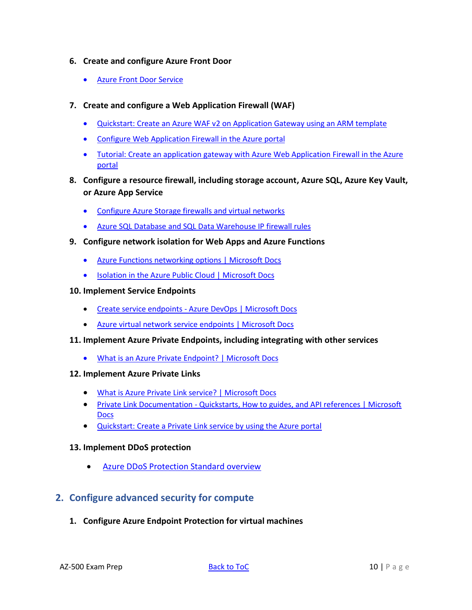- **6. Create and configure Azure Front Door** 
	- Azure Front Door [Service](https://docs.microsoft.com/en-us/azure/frontdoor/front-door-overview)
- **7. Create and configure a Web Application Firewall (WAF)** 
	- Quickstart: Create an Azure WAF v2 on [Application](https://docs.microsoft.com/en-us/azure/web-application-firewall/ag/quick-create-template) Gateway using an ARM template
	- Configure Web Application Firewall in the Azure portal
	- Tutorial: Create an application gateway with Azure Web Application Firewall in the Azure portal
- **8. Configure a resource firewall, including storage account, Azure SQL, Azure Key Vault, or Azure App Service**
	- [Configure](https://docs.microsoft.com/en-us/azure/storage/common/storage-network-security) Azure Storage firewalls and virtual networks
	- Azure SQL Database and SQL Data [Warehouse](https://docs.microsoft.com/en-us/azure/sql-database/sql-database-firewall-configure) IP firewall rules
- **9. Configure network isolation for Web Apps and Azure Functions**
	- Azure Functions [networking](https://docs.microsoft.com/en-us/azure/azure-functions/functions-networking-options) options | Microsoft Docs
	- [Isolation in the Azure Public Cloud | Microsoft Docs](https://docs.microsoft.com/en-us/azure/security/fundamentals/isolation-choices)
- **10. Implement Service Endpoints**
	- Create service endpoints [Azure DevOps | Microsoft Docs](https://docs.microsoft.com/en-us/azure/devops/extend/develop/service-endpoints?view=azure-devops)
	- [Azure virtual network service endpoints | Microsoft Docs](https://docs.microsoft.com/en-us/azure/virtual-network/virtual-network-service-endpoints-overview)

#### **11. Implement Azure Private Endpoints, including integrating with other services**

- What is an Azure Private [Endpoint?](https://docs.microsoft.com/en-us/azure/private-link/private-endpoint-overview) | Microsoft Docs
- **12. Implement Azure Private Links**
	- [What is Azure Private Link service? | Microsoft Docs](https://docs.microsoft.com/en-us/azure/private-link/private-link-service-overview)
	- Private Link Documentation [Quickstarts, How to guides, and API references | Microsoft](https://docs.microsoft.com/en-us/azure/private-link/)  **[Docs](https://docs.microsoft.com/en-us/azure/private-link/)**
	- [Quickstart: Create a Private Link service by using the Azure portal](https://docs.microsoft.com/en-us/azure/private-link/create-private-link-service-portal)

#### **13. Implement DDoS protection**

• [Azure DDoS Protection Standard overview](https://docs.microsoft.com/en-us/azure/virtual-network/ddos-protection-overview)

### <span id="page-9-0"></span>**2. Configure advanced security for compute**

**1. Configure Azure Endpoint Protection for virtual machines**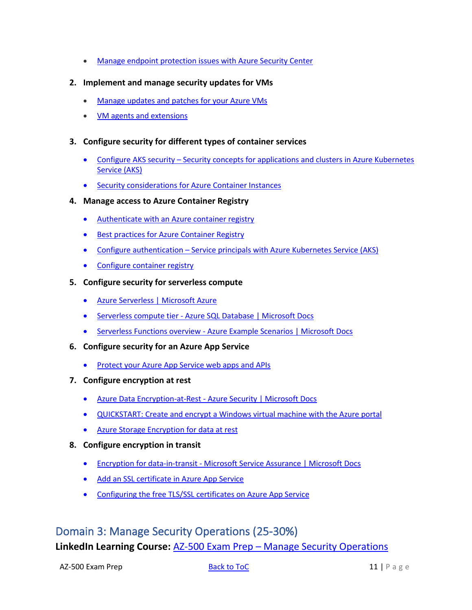- Manage endpoint [protection](https://docs.microsoft.com/en-us/azure/security-center/security-center-install-endpoint-protection) issues with Azure Security Center
- **2. Implement and manage security updates for VMs**
	- [Manage](https://docs.microsoft.com/en-us/azure/automation/automation-tutorial-update-management) updates and patches for your Azure VMs
	- [VM agents and extensions](https://docs.microsoft.com/en-us/azure/virtual-machines/extensions/features-windows)
- **3. Configure security for different types of container services**
	- Configure AKS security Security concepts for [applications](https://docs.microsoft.com/en-us/azure/aks/concepts-security) and clusters in Azure Kubernetes [Service](https://docs.microsoft.com/en-us/azure/aks/concepts-security) (AKS)
	- Security [considerations](https://docs.microsoft.com/en-us/azure/container-instances/container-instances-image-security) for Azure Container Instances

#### **4. Manage access to Azure Container Registry**

- [Authenticate with an Azure container registry](https://docs.microsoft.com/en-us/azure/container-registry/container-registry-authentication#service-principal)
- Best practices for Azure [Container](https://docs.microsoft.com/en-us/azure/container-registry/container-registry-best-practices) Registry
- Configure [authentication](https://docs.microsoft.com/en-us/azure/aks/kubernetes-service-principal) Service principals with Azure Kubernetes Service (AKS)
- [Configure](https://docs.microsoft.com/en-us/azure/container-registry/) container registry
- **5. Configure security for serverless compute**
	- [Azure Serverless | Microsoft Azure](https://azure.microsoft.com/en-us/solutions/serverless/#solution-architectures)
	- Serverless compute tier [Azure SQL Database | Microsoft Docs](https://docs.microsoft.com/en-us/azure/azure-sql/database/serverless-tier-overview)
	- Serverless Functions overview [Azure Example Scenarios | Microsoft Docs](https://docs.microsoft.com/en-us/azure/architecture/serverless-quest/serverless-overview)
- **6. Configure security for an Azure App Service**
	- [Protect](https://docs.microsoft.com/en-us/azure/security-center/security-center-app-services) your Azure App Service web apps and APIs
- **7. Configure encryption at rest**
	- Azure Data Encryption-at-Rest [Azure Security | Microsoft Docs](https://docs.microsoft.com/en-us/azure/security/fundamentals/encryption-atrest)
	- [QUICKSTART:](https://docs.microsoft.com/en-us/azure/virtual-machines/windows/disk-encryption-portal-quickstart) Create and encrypt a Windows virtual machine with the Azure portal
	- Azure Storage [Encryption](https://docs.microsoft.com/en-us/azure/storage/common/storage-service-encryption) for data at rest
- **8. Configure encryption in transit**
	- Encryption for data-in-transit [Microsoft Service Assurance | Microsoft Docs](https://docs.microsoft.com/en-us/compliance/assurance/assurance-encryption-in-transit)
	- Add an SSL [certificate](https://docs.microsoft.com/en-us/azure/app-service/configure-ssl-certificate) in Azure App Service
	- [Configuring](https://dev.to/azure/configuring-the-free-tls-ssl-certificates-on-azure-app-service-j2a) the free TLS/SSL certificates on Azure App Service

# <span id="page-10-0"></span>Domain 3: Manage Security Operations (25-30%) **LinkedIn Learning Course:** AZ-500 Exam Prep – [Manage Security Operations](https://www.linkedin.com/posts/petezerger_cloudsecurity-microsoftazure-activity-6656636161773064192-lsDS)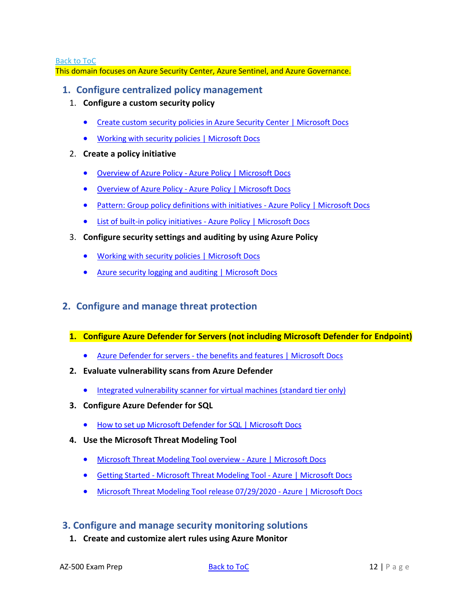[Back to ToC](#page-1-0)

This domain focuses on Azure Security Center, Azure Sentinel, and Azure Governance.

### <span id="page-11-0"></span>**1. Configure centralized policy management**

- 1. **Configure a custom security policy**
	- [Create custom security policies in Azure Security Center | Microsoft Docs](https://docs.microsoft.com/en-us/azure/security-center/custom-security-policies?pivots=azure-portal)
	- [Working with security policies | Microsoft Docs](https://docs.microsoft.com/en-us/azure/security-center/tutorial-security-policy)
- 2. **Create a policy initiative**
	- Overview of Azure Policy [Azure Policy | Microsoft Docs](https://docs.microsoft.com/en-us/azure/governance/policy/overview#initiative-definition)
	- Overview of Azure Policy [Azure Policy | Microsoft Docs](https://docs.microsoft.com/en-us/azure/governance/policy/overview)
	- [Pattern: Group policy definitions with initiatives -](https://docs.microsoft.com/en-us/azure/governance/policy/samples/pattern-group-with-initiative#sample-initiative-definition) Azure Policy | Microsoft Docs
	- [List of built-in policy initiatives -](https://docs.microsoft.com/en-us/azure/governance/policy/samples/built-in-initiatives) Azure Policy | Microsoft Docs
- 3. **Configure security settings and auditing by using Azure Policy**
	- [Working with security policies | Microsoft Docs](https://docs.microsoft.com/en-us/azure/security-center/tutorial-security-policy)
	- [Azure security logging and auditing | Microsoft Docs](https://docs.microsoft.com/en-us/azure/security/fundamentals/log-audit)

### <span id="page-11-1"></span>**2. Configure and manage threat protection**

#### **1. Configure Azure Defender for Servers (not including Microsoft Defender for Endpoint)**

- Azure Defender for servers [the benefits and features | Microsoft Docs](https://docs.microsoft.com/en-us/azure/security-center/defender-for-servers-introduction)
- **2. Evaluate vulnerability scans from Azure Defender**
	- [Integrated vulnerability scanner for virtual machines \(standard tier only\)](https://docs.microsoft.com/en-us/azure/security-center/built-in-vulnerability-assessment)
- **3. Configure Azure Defender for SQL**
	- [How to set up Microsoft Defender for SQL | Microsoft Docs](https://docs.microsoft.com/en-us/azure/security-center/defender-for-sql-usage)
- **4. Use the Microsoft Threat Modeling Tool**
	- [Microsoft Threat Modeling Tool overview -](https://docs.microsoft.com/en-us/azure/security/develop/threat-modeling-tool) Azure | Microsoft Docs
	- Getting Started [Microsoft Threat Modeling Tool -](https://docs.microsoft.com/en-us/azure/security/develop/threat-modeling-tool-getting-started) Azure | Microsoft Docs
	- [Microsoft Threat Modeling Tool release 07/29/2020 -](https://docs.microsoft.com/en-us/azure/security/develop/threat-modeling-tool-releases-73007291) Azure | Microsoft Docs

### <span id="page-11-2"></span>**3. Configure and manage security monitoring solutions**

**1. Create and customize alert rules using Azure Monitor**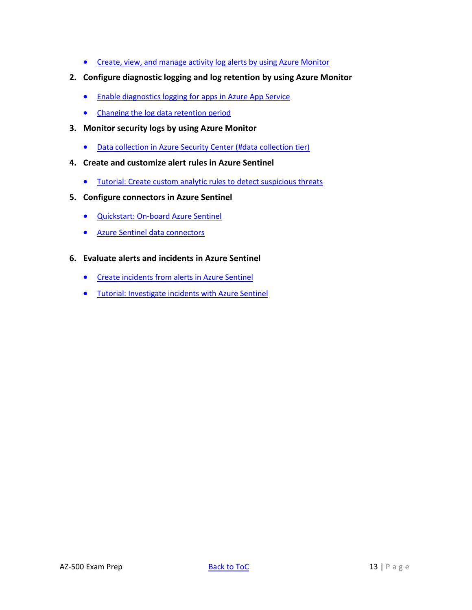- Create, view, and manage activity log alerts by using Azure [Monitor](https://docs.microsoft.com/en-us/azure/azure-monitor/platform/alerts-activity-log)
- **2. Configure diagnostic logging and log retention by using Azure Monitor**
	- Enable [diagnostics](https://docs.microsoft.com/en-us/azure/app-service/troubleshoot-diagnostic-logs) logging for apps in Azure App Service
	- Changing the log data [retention](https://docs.microsoft.com/en-us/azure/azure-monitor/platform/manage-cost-storage#change-the-data-retention-period) period
- **3. Monitor security logs by using Azure Monitor**
	- Data collection in Azure Security Center (#data [collection](https://docs.microsoft.com/en-us/azure/security-center/security-center-enable-data-collection#data-collection-tier) tier)
- **4. Create and customize alert rules in Azure Sentinel**
	- Tutorial: Create custom analytic rules to detect [suspicious](https://docs.microsoft.com/en-us/azure/sentinel/tutorial-detect-threats-custom) threats
- **5. Configure connectors in Azure Sentinel** 
	- [Quickstart:](https://docs.microsoft.com/en-us/azure/sentinel/quickstart-onboard) On-board Azure Sentinel
	- Azure Sentinel data [connectors](https://docs.microsoft.com/en-us/azure/sentinel/connect-data-sources)
- **6. Evaluate alerts and incidents in Azure Sentinel** 
	- Create [incidents](https://docs.microsoft.com/en-us/azure/sentinel/create-incidents-from-alerts) from alerts in Azure Sentinel
	- Tutorial: Investigate incidents with Azure Sentinel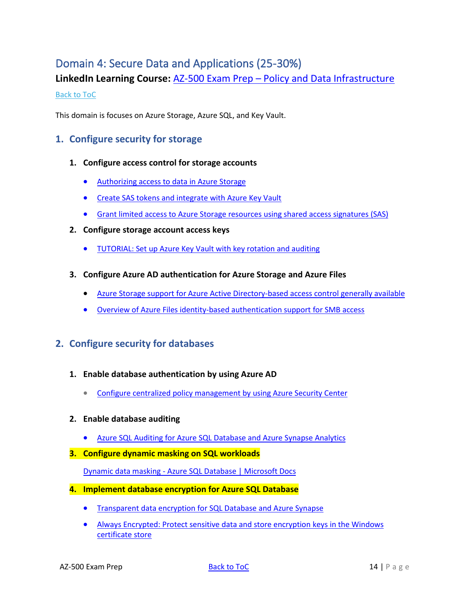# <span id="page-13-0"></span>Domain 4: Secure Data and Applications (25-30%)

**LinkedIn Learning Course:** AZ-500 Exam Prep – [Policy and Data Infrastructure](https://www.linkedin.com/posts/petezerger_infosec-cloudsecurity-microsoftazure-activity-6661598263344447488-Btl3)

#### [Back to ToC](#page-1-0)

This domain is focuses on Azure Storage, Azure SQL, and Key Vault.

### <span id="page-13-1"></span>**1. Configure security for storage**

- **1. Configure access control for storage accounts**
	- [Authorizing](https://docs.microsoft.com/en-us/azure/storage/common/storage-auth) access to data in Azure Storage
	- Create SAS tokens and [integrate](https://docs.azure.cn/zh-cn/cli/storage/account?view=azure-cli-latest#az-storage-account-generate-sas) with Azure Key Vault
	- Grant limited access to Azure Storage resources using shared access [signatures](https://docs.microsoft.com/en-us/azure/storage/common/storage-sas-overview) (SAS)
- **2. Configure storage account access keys**
	- [TUTORIAL:](https://docs.microsoft.com/en-us/azure/key-vault/key-vault-key-rotation-log-monitoring) Set up Azure Key Vault with key rotation and auditing
- **3. Configure Azure AD authentication for Azure Storage and Azure Files**
	- Azure Storage support for Azure Active [Directory-based](https://azure.microsoft.com/en-us/blog/azure-storage-support-for-azure-ad-based-access-control-now-generally-available/) access control generally available
	- Overview of Azure Files identity-based [authentication](https://docs.microsoft.com/en-us/azure/storage/files/storage-files-active-directory-overview) support for SMB access

### <span id="page-13-2"></span>**2. Configure security for databases**

- **1. Enable database authentication by using Azure AD**
	- Configure centralized policy [management](https://docs.microsoft.com/en-us/azure/security-center/tutorial-security-policy) by using Azure Security Center
- **2. Enable database auditing**
	- Azure SQL Auditing for Azure SQL [Database](https://docs.microsoft.com/en-us/azure/sql-database/sql-database-auditing) and Azure Synapse Analytics
- **3. Configure dynamic masking on SQL workloads**

Dynamic data masking - [Azure SQL Database | Microsoft Docs](https://docs.microsoft.com/en-us/azure/azure-sql/database/dynamic-data-masking-overview)

- **4. Implement database encryption for Azure SQL Database** 
	- [Transparent](https://docs.microsoft.com/en-us/azure/sql-database/transparent-data-encryption-azure-sql?tabs=azure-portal) data encryption for SQL Database and Azure Synapse
	- Always [Encrypted:](https://docs.microsoft.com/en-us/azure/sql-database/sql-database-always-encrypted) Protect sensitive data and store encryption keys in the Windows [certificate](https://docs.microsoft.com/en-us/azure/sql-database/sql-database-always-encrypted) store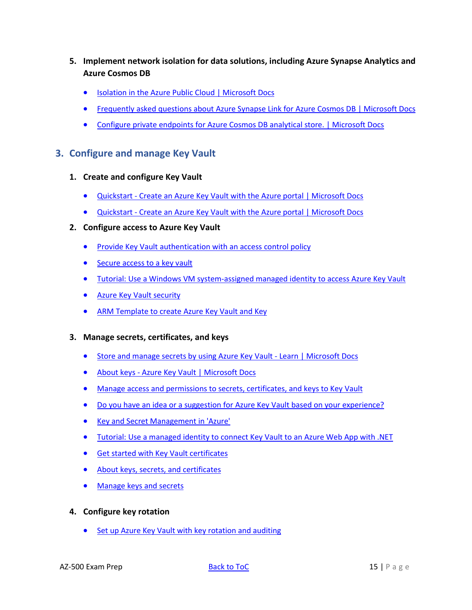- **5. Implement network isolation for data solutions, including Azure Synapse Analytics and Azure Cosmos DB**
	- Isolation in the Azure Public Cloud | [Microsoft](https://docs.microsoft.com/en-us/azure/security/fundamentals/isolation-choices#compute-isolation) Docs
	- [Frequently](https://docs.microsoft.com/en-us/azure/cosmos-db/synapse-link-frequently-asked-questions) asked questions about Azure Synapse Link for Azure Cosmos DB | Microsoft Docs
	- Configure private [endpoints](https://docs.microsoft.com/en-us/azure/cosmos-db/analytical-store-private-endpoints) for Azure Cosmos DB analytical store. | Microsoft Docs

### <span id="page-14-0"></span>**3. Configure and manage Key Vault**

- **1. Create and configure Key Vault**
	- [Quickstart](https://docs.microsoft.com/en-us/azure/key-vault/general/quick-create-portal) Create an Azure Key Vault with the Azure portal | Microsoft Docs
	- [Quickstart](https://docs.microsoft.com/en-us/azure/key-vault/general/quick-create-portal) Create an Azure Key Vault with the Azure portal | Microsoft Docs
- **2. Configure access to Azure Key Vault**
	- Provide Key Vault [authentication](https://docs.microsoft.com/en-us/azure/key-vault/key-vault-group-permissions-for-apps) with an access control policy
	- [Secure](https://docs.microsoft.com/en-us/azure/key-vault/key-vault-secure-your-key-vault#:~:text=) access to a key vault
	- Tutorial: Use a Windows VM [system-assigned](https://docs.microsoft.com/en-us/azure/active-directory/managed-identities-azure-resources/tutorial-windows-vm-access-nonaad) managed identity to access Azure Key Vault
	- Azure Key Vault [security](https://docs.microsoft.com/bs-latn-ba/azure/key-vault/overview-security#:~:text=)
	- ARM Template to create Azure Key Vault and Key
- **3. Manage secrets, certificates, and keys**
	- [Store and manage secrets by using Azure Key Vault -](https://docs.microsoft.com/en-us/learn/modules/protect-against-security-threats-azure/4-manage-secrets-key-vault?ns-enrollment-type=LearningPath&ns-enrollment-id=learn.security.manage-identity-and-access) Learn | Microsoft Docs
	- About keys [Azure Key Vault | Microsoft Docs](https://docs.microsoft.com/en-us/azure/key-vault/keys/about-keys)
	- Manage access and [permissions](https://dev.to/cheahengsoon/configure-and-manage-azure-key-vault-3foj) to secrets, certificates, and keys to Key Vault
	- Do you have an idea or a suggestion for Azure Key Vault based on your [experience?](https://feedback.azure.com/forums/906355-azure-key-vault/suggestions/32213176-per-secret-key-certificate-access-control)
	- Key and Secret [Management](https://www.rdocumentation.org/packages/AzureKeyVault/versions/1.0.3) in 'Azure'
	- Tutorial: Use a [managed](https://docs.microsoft.com/en-us/azure/key-vault/general/tutorial-net-create-vault-azure-web-app) identity to connect Key Vault to an Azure Web App with .NET
	- Get started with Key Vault [certificates](https://docs.microsoft.com/en-us/azure/key-vault/certificate-scenarios)
	- About keys, secrets, and [certificates](https://docs.microsoft.com/en-us/azure/key-vault/about-keys-secrets-and-certificates)
	- [Manage](https://docs.microsoft.com/en-us/azure-stack/user/azure-stack-key-vault-manage-portal?view=azs-1910#manage-keys-and-secrets) keys and secrets
- **4. Configure key rotation**
	- Set up Azure Key Vault with key rotation and [auditing](https://docs.microsoft.com/en-us/azure/key-vault/key-vault-key-rotation-log-monitoring)